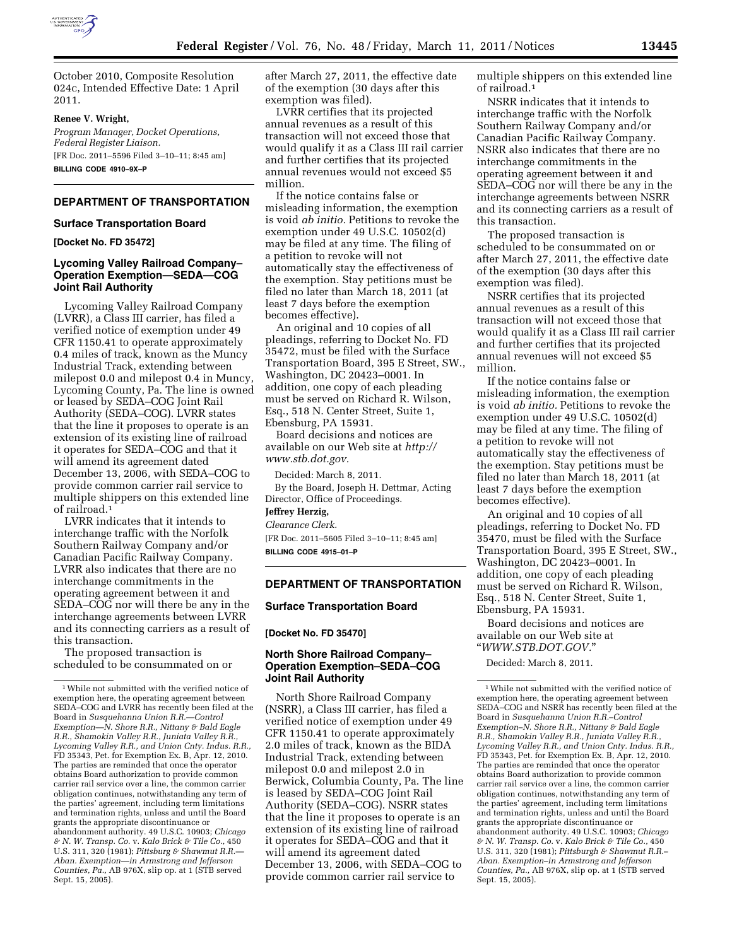

October 2010, Composite Resolution 024c, Intended Effective Date: 1 April 2011.

### **Renee V. Wright,**

*Program Manager, Docket Operations, Federal Register Liaison.*  [FR Doc. 2011–5596 Filed 3–10–11; 8:45 am] **BILLING CODE 4910–9X–P** 

# **DEPARTMENT OF TRANSPORTATION**

### **Surface Transportation Board**

## **[Docket No. FD 35472]**

## **Lycoming Valley Railroad Company– Operation Exemption—SEDA—COG Joint Rail Authority**

Lycoming Valley Railroad Company (LVRR), a Class III carrier, has filed a verified notice of exemption under 49 CFR 1150.41 to operate approximately 0.4 miles of track, known as the Muncy Industrial Track, extending between milepost 0.0 and milepost 0.4 in Muncy, Lycoming County, Pa. The line is owned or leased by SEDA–COG Joint Rail Authority (SEDA–COG). LVRR states that the line it proposes to operate is an extension of its existing line of railroad it operates for SEDA–COG and that it will amend its agreement dated December 13, 2006, with SEDA–COG to provide common carrier rail service to multiple shippers on this extended line of railroad.1

LVRR indicates that it intends to interchange traffic with the Norfolk Southern Railway Company and/or Canadian Pacific Railway Company. LVRR also indicates that there are no interchange commitments in the operating agreement between it and SEDA–COG nor will there be any in the interchange agreements between LVRR and its connecting carriers as a result of this transaction.

The proposed transaction is scheduled to be consummated on or after March 27, 2011, the effective date of the exemption (30 days after this exemption was filed).

LVRR certifies that its projected annual revenues as a result of this transaction will not exceed those that would qualify it as a Class III rail carrier and further certifies that its projected annual revenues would not exceed \$5 million.

If the notice contains false or misleading information, the exemption is void *ab initio.* Petitions to revoke the exemption under 49 U.S.C. 10502(d) may be filed at any time. The filing of a petition to revoke will not automatically stay the effectiveness of the exemption. Stay petitions must be filed no later than March 18, 2011 (at least 7 days before the exemption becomes effective).

An original and 10 copies of all pleadings, referring to Docket No. FD 35472, must be filed with the Surface Transportation Board, 395 E Street, SW., Washington, DC 20423–0001. In addition, one copy of each pleading must be served on Richard R. Wilson, Esq., 518 N. Center Street, Suite 1, Ebensburg, PA 15931.

Board decisions and notices are available on our Web site at *[http://](http://www.stb.dot.gov) [www.stb.dot.gov.](http://www.stb.dot.gov)* 

Decided: March 8, 2011. By the Board, Joseph H. Dettmar, Acting Director, Office of Proceedings.

# **Jeffrey Herzig,**

*Clearance Clerk.*  [FR Doc. 2011–5605 Filed 3–10–11; 8:45 am]

**BILLING CODE 4915–01–P** 

## **DEPARTMENT OF TRANSPORTATION**

### **Surface Transportation Board**

### **[Docket No. FD 35470]**

### **North Shore Railroad Company– Operation Exemption–SEDA–COG Joint Rail Authority**

North Shore Railroad Company (NSRR), a Class III carrier, has filed a verified notice of exemption under 49 CFR 1150.41 to operate approximately 2.0 miles of track, known as the BIDA Industrial Track, extending between milepost 0.0 and milepost 2.0 in Berwick, Columbia County, Pa. The line is leased by SEDA–COG Joint Rail Authority (SEDA–COG). NSRR states that the line it proposes to operate is an extension of its existing line of railroad it operates for SEDA–COG and that it will amend its agreement dated December 13, 2006, with SEDA–COG to provide common carrier rail service to

multiple shippers on this extended line of railroad.1

NSRR indicates that it intends to interchange traffic with the Norfolk Southern Railway Company and/or Canadian Pacific Railway Company. NSRR also indicates that there are no interchange commitments in the operating agreement between it and SEDA–COG nor will there be any in the interchange agreements between NSRR and its connecting carriers as a result of this transaction.

The proposed transaction is scheduled to be consummated on or after March 27, 2011, the effective date of the exemption (30 days after this exemption was filed).

NSRR certifies that its projected annual revenues as a result of this transaction will not exceed those that would qualify it as a Class III rail carrier and further certifies that its projected annual revenues will not exceed \$5 million.

If the notice contains false or misleading information, the exemption is void *ab initio.* Petitions to revoke the exemption under 49 U.S.C. 10502(d) may be filed at any time. The filing of a petition to revoke will not automatically stay the effectiveness of the exemption. Stay petitions must be filed no later than March 18, 2011 (at least 7 days before the exemption becomes effective).

An original and 10 copies of all pleadings, referring to Docket No. FD 35470, must be filed with the Surface Transportation Board, 395 E Street, SW., Washington, DC 20423–0001. In addition, one copy of each pleading must be served on Richard R. Wilson, Esq., 518 N. Center Street, Suite 1, Ebensburg, PA 15931.

Board decisions and notices are available on our Web site at ''*[WWW.STB.DOT.GOV.](http://WWW.STB.DOT.GOV)*''

Decided: March 8, 2011.

<sup>1</sup>While not submitted with the verified notice of exemption here, the operating agreement between SEDA–COG and LVRR has recently been filed at the Board in *Susquehanna Union R.R.—Control Exemption—N. Shore R.R., Nittany & Bald Eagle R.R., Shamokin Valley R.R., Juniata Valley R.R., Lycoming Valley R.R., and Union Cnty. Indus. R.R.,*  FD 35343, Pet. for Exemption Ex. B, Apr. 12, 2010. The parties are reminded that once the operator obtains Board authorization to provide common carrier rail service over a line, the common carrier obligation continues, notwithstanding any term of the parties' agreement, including term limitations and termination rights, unless and until the Board grants the appropriate discontinuance or abandonment authority. 49 U.S.C. 10903; *Chicago & N. W. Transp. Co.* v. *Kalo Brick & Tile Co.,* 450 U.S. 311, 320 (1981); *Pittsburg & Shawmut R.R.— Aban. Exemption—in Armstrong and Jefferson Counties, Pa.,* AB 976X, slip op. at 1 (STB served Sept. 15, 2005).

 $^{\rm 1}$  While not submitted with the verified notice of exemption here, the operating agreement between SEDA–COG and NSRR has recently been filed at the Board in *Susquehanna Union R.R.–Control Exemption–N. Shore R.R., Nittany & Bald Eagle R.R., Shamokin Valley R.R., Juniata Valley R.R., Lycoming Valley R.R., and Union Cnty. Indus. R.R.,*  FD 35343, Pet. for Exemption Ex. B, Apr. 12, 2010. The parties are reminded that once the operator obtains Board authorization to provide common carrier rail service over a line, the common carrier obligation continues, notwithstanding any term of the parties' agreement, including term limitations and termination rights, unless and until the Board grants the appropriate discontinuance or abandonment authority. 49 U.S.C. 10903; *Chicago & N. W. Transp. Co.* v. *Kalo Brick & Tile Co.,* 450 U.S. 311, 320 (1981); *Pittsburgh & Shawmut R.R.– Aban. Exemption–in Armstrong and Jefferson Counties, Pa.,* AB 976X, slip op. at 1 (STB served Sept. 15, 2005).